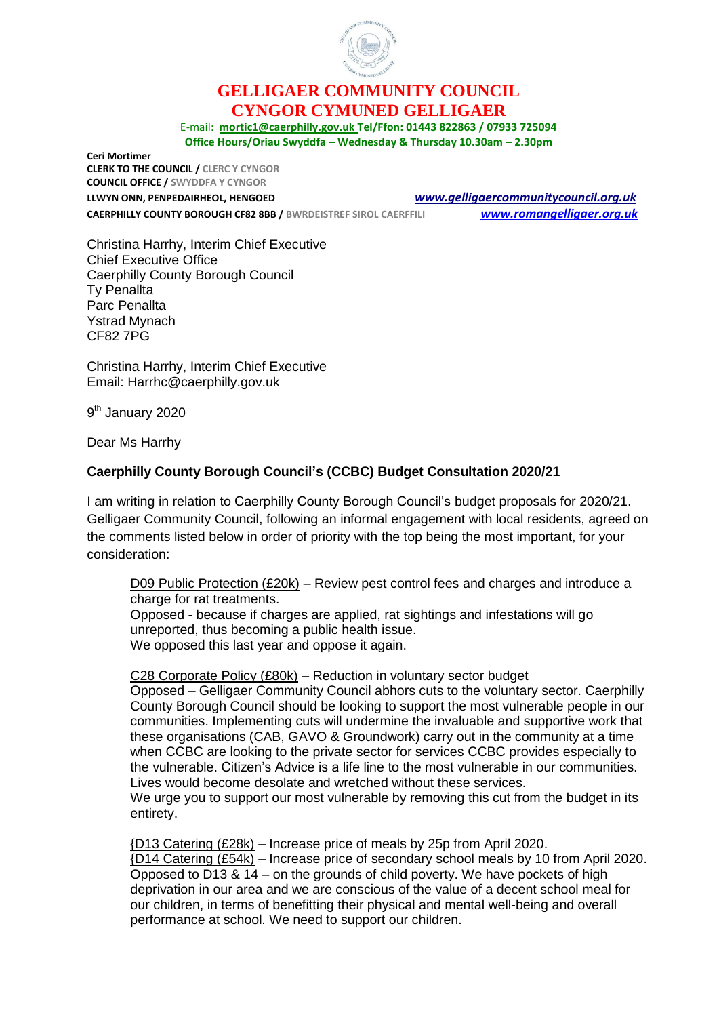

## **GELLIGAER COMMUNITY COUNCIL CYNGOR CYMUNED GELLIGAER**

E-mail: **[mortic1@caerphilly.gov.uk](mailto:mortic1@caerphilly.gov.uk) Tel/Ffon: 01443 822863 / 07933 725094 Office Hours/Oriau Swyddfa – Wednesday & Thursday 10.30am – 2.30pm**

**Ceri Mortimer CLERK TO THE COUNCIL / CLERC Y CYNGOR COUNCIL OFFICE / SWYDDFA Y CYNGOR**

**CAERPHILLY COUNTY BOROUGH CF82 8BB / BWRDEISTREF SIROL CAERFFILI** *[www.romangelligaer.org.uk](http://www.romangelligaer.org.uk/)*

**LLWYN ONN, PENPEDAIRHEOL, HENGOED** *[www.gelligaercommunitycouncil.org.uk](file://///CORPORATE/Files/CCBCUsers/Users11/MORTIC1/My%20Documents/Consultation%20CCBC%20Budget%20Jan%202019/www.gelligaercommunitycouncil.org.uk)*

Christina Harrhy, Interim Chief Executive Chief Executive Office Caerphilly County Borough Council Ty Penallta Parc Penallta Ystrad Mynach CF82 7PG

Christina Harrhy, Interim Chief Executive Email: Harrhc@caerphilly.gov.uk

9<sup>th</sup> January 2020

Dear Ms Harrhy

## **Caerphilly County Borough Council's (CCBC) Budget Consultation 2020/21**

I am writing in relation to Caerphilly County Borough Council's budget proposals for 2020/21. Gelligaer Community Council, following an informal engagement with local residents, agreed on the comments listed below in order of priority with the top being the most important, for your consideration:

D09 Public Protection (£20k) – Review pest control fees and charges and introduce a charge for rat treatments.

Opposed - because if charges are applied, rat sightings and infestations will go unreported, thus becoming a public health issue. We opposed this last year and oppose it again.

C28 Corporate Policy (£80k) – Reduction in voluntary sector budget Opposed – Gelligaer Community Council abhors cuts to the voluntary sector. Caerphilly County Borough Council should be looking to support the most vulnerable people in our communities. Implementing cuts will undermine the invaluable and supportive work that these organisations (CAB, GAVO & Groundwork) carry out in the community at a time when CCBC are looking to the private sector for services CCBC provides especially to the vulnerable. Citizen's Advice is a life line to the most vulnerable in our communities. Lives would become desolate and wretched without these services. We urge you to support our most vulnerable by removing this cut from the budget in its

entirety.

{D13 Catering (£28k) – Increase price of meals by 25p from April 2020. {D14 Catering (£54k) – Increase price of secondary school meals by 10 from April 2020. Opposed to D13 & 14 – on the grounds of child poverty. We have pockets of high deprivation in our area and we are conscious of the value of a decent school meal for our children, in terms of benefitting their physical and mental well-being and overall performance at school. We need to support our children.